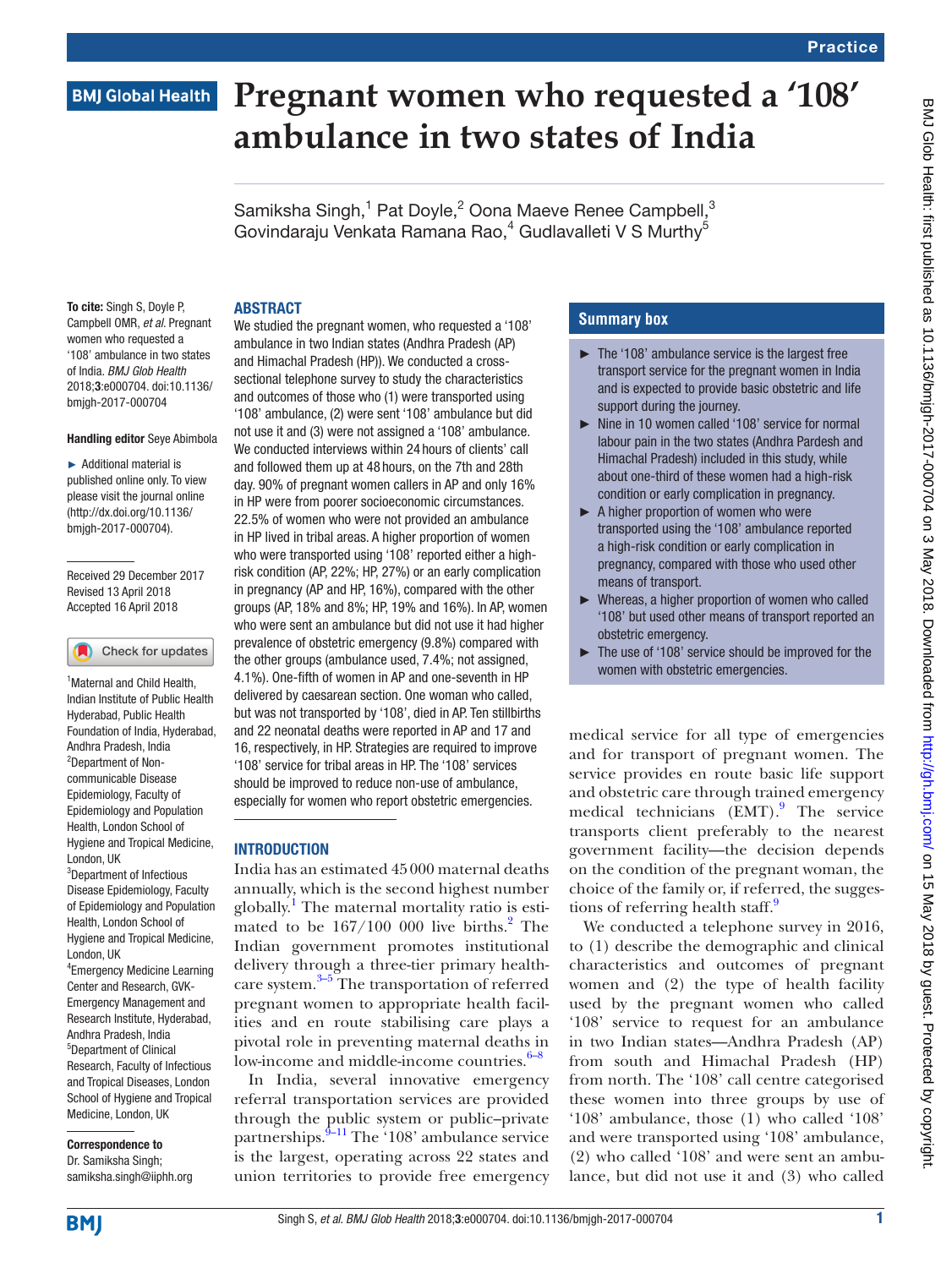# **BMJ Global Health**

# **Pregnant women who requested a '108' ambulance in two states of India**

Samiksha Singh,<sup>1</sup> Pat Doyle,<sup>2</sup> Oona Maeve Renee Campbell,<sup>3</sup> Govindaraju Venkata Ramana Rao,<sup>4</sup> Gudlavalleti V S Murthy<sup>5</sup>

### **ABSTRACT**

To cite: Singh S, Doyle P, Campbell OMR, *et al*. Pregnant women who requested a '108' ambulance in two states of India. *BMJ Glob Health* 2018;3:e000704. doi:10.1136/ bmjgh-2017-000704

#### Handling editor Seye Abimbola

► Additional material is published online only. To view please visit the journal online (http://dx.doi.org/10.1136/ bmjgh-2017-000704).

Received 29 December 2017 Revised 13 April 2018 Accepted 16 April 2018

#### Check for updates

<sup>1</sup> Maternal and Child Health, Indian Institute of Public Health Hyderabad, Public Health Foundation of India, Hyderabad, Andhra Pradesh, India 2 Department of Noncommunicable Disease Epidemiology, Faculty of Epidemiology and Population Health, London School of Hygiene and Tropical Medicine, London, UK <sup>3</sup>Department of Infectious Disease Epidemiology, Faculty of Epidemiology and Population Health, London School of Hygiene and Tropical Medicine, London, UK 4 Emergency Medicine Learning Center and Research, GVK-Emergency Management and Research Institute, Hyderabad, Andhra Pradesh, India 5 Department of Clinical Research, Faculty of Infectious and Tropical Diseases, London School of Hygiene and Tropical Medicine, London, UK

Correspondence to Dr. Samiksha Singh; samiksha.singh@iiphh.org

We studied the pregnant women, who requested a '108' ambulance in two Indian states (Andhra Pradesh (AP) and Himachal Pradesh (HP)). We conducted a crosssectional telephone survey to study the characteristics and outcomes of those who (1) were transported using '108' ambulance, (2) were sent '108' ambulance but did not use it and (3) were not assigned a '108' ambulance. We conducted interviews within 24 hours of clients' call and followed them up at 48 hours, on the 7th and 28th day. 90% of pregnant women callers in AP and only 16% in HP were from poorer socioeconomic circumstances. 22.5% of women who were not provided an ambulance in HP lived in tribal areas. A higher proportion of women who were transported using '108' reported either a highrisk condition (AP, 22%; HP, 27%) or an early complication in pregnancy (AP and HP, 16%), compared with the other groups (AP, 18% and 8%; HP, 19% and 16%). In AP, women who were sent an ambulance but did not use it had higher prevalence of obstetric emergency (9.8%) compared with the other groups (ambulance used, 7.4%; not assigned, 4.1%). One-fifth of women in AP and one-seventh in HP delivered by caesarean section. One woman who called, but was not transported by '108', died in AP. Ten stillbirths and 22 neonatal deaths were reported in AP and 17 and 16, respectively, in HP. Strategies are required to improve '108' service for tribal areas in HP. The '108' services should be improved to reduce non-use of ambulance, especially for women who report obstetric emergencies.

#### **INTRODUCTION**

India has an estimated 45000 maternal deaths annually, which is the second highest number globally.<sup>1</sup> The maternal mortality ratio is estimated to be  $167/100$  000 live births. $^{2}$  $^{2}$  $^{2}$  The Indian government promotes institutional delivery through a three-tier primary health-care system.<sup>[3–5](#page-6-2)</sup> The transportation of referred pregnant women to appropriate health facilities and en route stabilising care plays a pivotal role in preventing maternal deaths in low-income and middle-income countries.<sup>[6–8](#page-6-3)</sup>

In India, several innovative emergency referral transportation services are provided through the public system or public–private partnerships.<sup>[9–11](#page-6-4)</sup> The '108' ambulance service is the largest, operating across 22 states and union territories to provide free emergency

# **Summary box**

- ► The '108' ambulance service is the largest free transport service for the pregnant women in India and is expected to provide basic obstetric and life support during the journey.
- ► Nine in 10 women called '108' service for normal labour pain in the two states (Andhra Pardesh and Himachal Pradesh) included in this study, while about one-third of these women had a high-risk condition or early complication in pregnancy.
- ► A higher proportion of women who were transported using the '108' ambulance reported a high-risk condition or early complication in pregnancy, compared with those who used other means of transport.
- ► Whereas, a higher proportion of women who called '108' but used other means of transport reported an obstetric emergency.
- ► The use of '108' service should be improved for the women with obstetric emergencies.

medical service for all type of emergencies and for transport of pregnant women. The service provides en route basic life support and obstetric care through trained emergency medical technicians (EMT).<sup>[9](#page-6-4)</sup> The service transports client preferably to the nearest government facility—the decision depends on the condition of the pregnant woman, the choice of the family or, if referred, the sugges-tions of referring health staff.<sup>[9](#page-6-4)</sup>

We conducted a telephone survey in 2016, to (1) describe the demographic and clinical characteristics and outcomes of pregnant women and (2) the type of health facility used by the pregnant women who called '108' service to request for an ambulance in two Indian states—Andhra Pradesh (AP) from south and Himachal Pradesh (HP) from north. The '108' call centre categorised these women into three groups by use of '108' ambulance, those (1) who called '108' and were transported using '108' ambulance, (2) who called '108' and were sent an ambulance, but did not use it and (3) who called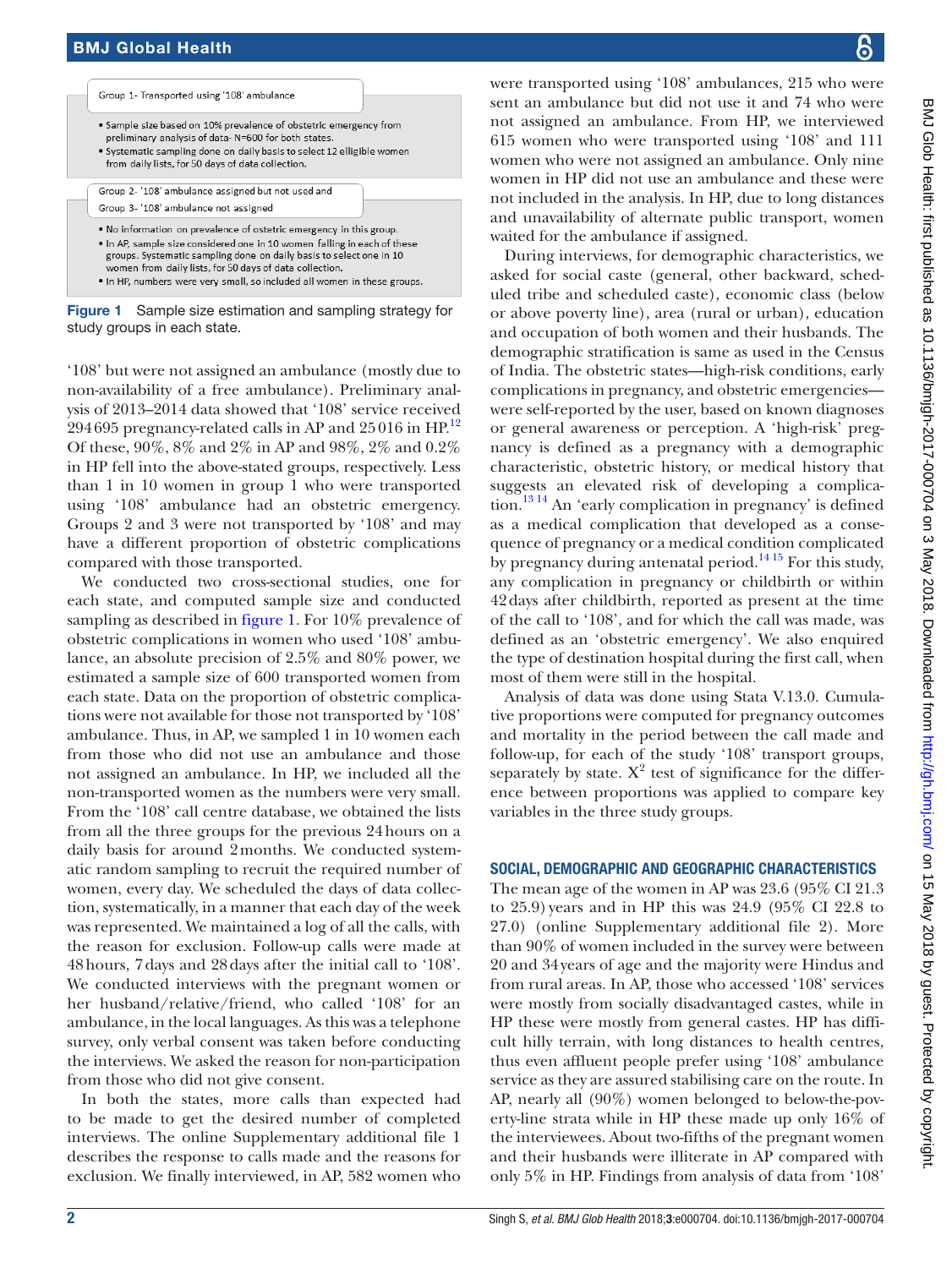

<span id="page-1-0"></span>Figure 1 Sample size estimation and sampling strategy for study groups in each state.

'108' but were not assigned an ambulance (mostly due to non-availability of a free ambulance). Preliminary analysis of 2013–2014 data showed that '108' service received  $294\,695$  pregnancy-related calls in AP and  $25\,016$  in HP. $^{12}$  $^{12}$  $^{12}$ Of these, 90%, 8% and 2% in AP and 98%, 2% and 0.2% in HP fell into the above-stated groups, respectively. Less than 1 in 10 women in group 1 who were transported using '108' ambulance had an obstetric emergency. Groups 2 and 3 were not transported by '108' and may have a different proportion of obstetric complications compared with those transported.

We conducted two cross-sectional studies, one for each state, and computed sample size and conducted sampling as described in [figure](#page-1-0) 1. For 10% prevalence of obstetric complications in women who used '108' ambulance, an absolute precision of 2.5% and 80% power, we estimated a sample size of 600 transported women from each state. Data on the proportion of obstetric complications were not available for those not transported by '108' ambulance. Thus, in AP, we sampled 1 in 10 women each from those who did not use an ambulance and those not assigned an ambulance. In HP, we included all the non-transported women as the numbers were very small. From the '108' call centre database, we obtained the lists from all the three groups for the previous 24hours on a daily basis for around 2months. We conducted systematic random sampling to recruit the required number of women, every day. We scheduled the days of data collection, systematically, in a manner that each day of the week was represented. We maintained a log of all the calls, with the reason for exclusion. Follow-up calls were made at 48hours, 7days and 28days after the initial call to '108'. We conducted interviews with the pregnant women or her husband/relative/friend, who called '108' for an ambulance, in the local languages. As this was a telephone survey, only verbal consent was taken before conducting the interviews. We asked the reason for non-participation from those who did not give consent.

In both the states, more calls than expected had to be made to get the desired number of completed interviews. The online [Supplementary additional file 1](https://dx.doi.org/10.1136/bmjgh-2017-000704) describes the response to calls made and the reasons for exclusion. We finally interviewed, in AP, 582 women who

were transported using '108' ambulances, 215 who were sent an ambulance but did not use it and 74 who were not assigned an ambulance. From HP, we interviewed 615 women who were transported using '108' and 111 women who were not assigned an ambulance. Only nine women in HP did not use an ambulance and these were not included in the analysis. In HP, due to long distances and unavailability of alternate public transport, women waited for the ambulance if assigned.

During interviews, for demographic characteristics, we asked for social caste (general, other backward, scheduled tribe and scheduled caste), economic class (below or above poverty line), area (rural or urban), education and occupation of both women and their husbands. The demographic stratification is same as used in the Census of India. The obstetric states—high-risk conditions, early complications in pregnancy, and obstetric emergencies were self-reported by the user, based on known diagnoses or general awareness or perception. A 'high-risk' pregnancy is defined as a pregnancy with a demographic characteristic, obstetric history, or medical history that suggests an elevated risk of developing a complication[.13 14](#page-6-6) An 'early complication in pregnancy' is defined as a medical complication that developed as a consequence of pregnancy or a medical condition complicated by pregnancy during antenatal period.<sup>[14 15](#page-6-7)</sup> For this study, any complication in pregnancy or childbirth or within 42days after childbirth, reported as present at the time of the call to '108', and for which the call was made, was defined as an 'obstetric emergency'. We also enquired the type of destination hospital during the first call, when most of them were still in the hospital.

Analysis of data was done using Stata V.13.0. Cumulative proportions were computed for pregnancy outcomes and mortality in the period between the call made and follow-up, for each of the study '108' transport groups, separately by state.  $X^2$  test of significance for the difference between proportions was applied to compare key variables in the three study groups.

## Social, demographic and geographic characteristics

The mean age of the women in AP was 23.6 (95% CI 21.3 to 25.9) years and in HP this was 24.9 (95% CI 22.8 to 27.0) (online [Supplementary additional file 2\)](https://dx.doi.org/10.1136/bmjgh-2017-000704). More than 90% of women included in the survey were between 20 and 34years of age and the majority were Hindus and from rural areas. In AP, those who accessed '108' services were mostly from socially disadvantaged castes, while in HP these were mostly from general castes. HP has difficult hilly terrain, with long distances to health centres, thus even affluent people prefer using '108' ambulance service as they are assured stabilising care on the route. In AP, nearly all (90%) women belonged to below-the-poverty-line strata while in HP these made up only 16% of the interviewees. About two-fifths of the pregnant women and their husbands were illiterate in AP compared with only 5% in HP. Findings from analysis of data from '108'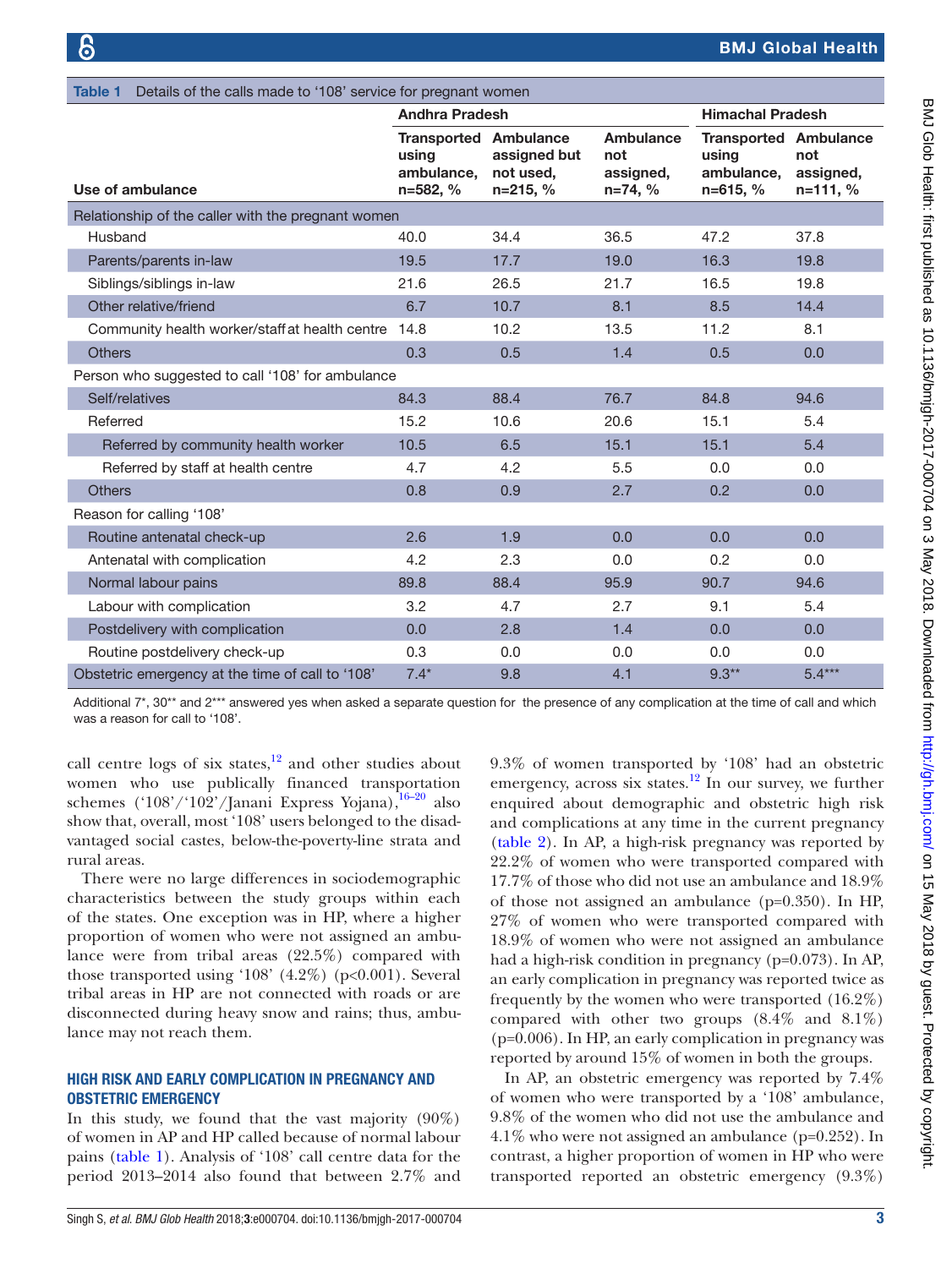<span id="page-2-0"></span>

| Details of the calls made to '108' service for pregnant women<br><b>Table 1</b> |                                                                 |                                         |                                            |                                                                   |                                  |
|---------------------------------------------------------------------------------|-----------------------------------------------------------------|-----------------------------------------|--------------------------------------------|-------------------------------------------------------------------|----------------------------------|
|                                                                                 | <b>Andhra Pradesh</b>                                           |                                         |                                            | <b>Himachal Pradesh</b>                                           |                                  |
| Use of ambulance                                                                | <b>Transported Ambulance</b><br>using<br>ambulance,<br>n=582, % | assigned but<br>not used,<br>$n=215, %$ | Ambulance<br>not<br>assigned,<br>$n=74, %$ | <b>Transported Ambulance</b><br>using<br>ambulance,<br>$n=615, %$ | not<br>assigned,<br>$n = 111, %$ |
| Relationship of the caller with the pregnant women                              |                                                                 |                                         |                                            |                                                                   |                                  |
| Husband                                                                         | 40.0                                                            | 34.4                                    | 36.5                                       | 47.2                                                              | 37.8                             |
| Parents/parents in-law                                                          | 19.5                                                            | 17.7                                    | 19.0                                       | 16.3                                                              | 19.8                             |
| Siblings/siblings in-law                                                        | 21.6                                                            | 26.5                                    | 21.7                                       | 16.5                                                              | 19.8                             |
| Other relative/friend                                                           | 6.7                                                             | 10.7                                    | 8.1                                        | 8.5                                                               | 14.4                             |
| Community health worker/staff at health centre                                  | 14.8                                                            | 10.2                                    | 13.5                                       | 11.2                                                              | 8.1                              |
| <b>Others</b>                                                                   | 0.3                                                             | 0.5                                     | 1.4                                        | 0.5                                                               | 0.0                              |
| Person who suggested to call '108' for ambulance                                |                                                                 |                                         |                                            |                                                                   |                                  |
| Self/relatives                                                                  | 84.3                                                            | 88.4                                    | 76.7                                       | 84.8                                                              | 94.6                             |
| Referred                                                                        | 15.2                                                            | 10.6                                    | 20.6                                       | 15.1                                                              | 5.4                              |
| Referred by community health worker                                             | 10.5                                                            | 6.5                                     | 15.1                                       | 15.1                                                              | 5.4                              |
| Referred by staff at health centre                                              | 4.7                                                             | 4.2                                     | 5.5                                        | 0.0                                                               | 0.0                              |
| <b>Others</b>                                                                   | 0.8                                                             | 0.9                                     | 2.7                                        | 0.2                                                               | 0.0                              |
| Reason for calling '108'                                                        |                                                                 |                                         |                                            |                                                                   |                                  |
| Routine antenatal check-up                                                      | 2.6                                                             | 1.9                                     | 0.0                                        | 0.0                                                               | 0.0                              |
| Antenatal with complication                                                     | 4.2                                                             | 2.3                                     | 0.0                                        | 0.2                                                               | 0.0                              |
| Normal labour pains                                                             | 89.8                                                            | 88.4                                    | 95.9                                       | 90.7                                                              | 94.6                             |
| Labour with complication                                                        | 3.2                                                             | 4.7                                     | 2.7                                        | 9.1                                                               | 5.4                              |
| Postdelivery with complication                                                  | 0.0                                                             | 2.8                                     | 1.4                                        | 0.0                                                               | 0.0                              |
| Routine postdelivery check-up                                                   | 0.3                                                             | 0.0                                     | 0.0                                        | 0.0                                                               | 0.0                              |
| Obstetric emergency at the time of call to '108'                                | $7.4*$                                                          | 9.8                                     | 4.1                                        | $9.3**$                                                           | $5.4***$                         |

Additional 7\*, 30\*\* and 2\*\*\* answered yes when asked a separate question for the presence of any complication at the time of call and which was a reason for call to '108'.

call centre logs of six states, $12$  and other studies about women who use publically financed transportation schemes ('108'/'102'/Janani Express Yojana), $16-20$  also show that, overall, most '108' users belonged to the disadvantaged social castes, below-the-poverty-line strata and rural areas.

There were no large differences in sociodemographic characteristics between the study groups within each of the states. One exception was in HP, where a higher proportion of women who were not assigned an ambulance were from tribal areas (22.5%) compared with those transported using '108'  $(4.2\%)$  (p<0.001). Several tribal areas in HP are not connected with roads or are disconnected during heavy snow and rains; thus, ambulance may not reach them.

## High risk and early complication in pregnancy and obstetric emergency

In this study, we found that the vast majority  $(90\%)$ of women in AP and HP called because of normal labour pains ([table](#page-2-0) 1). Analysis of '108' call centre data for the period 2013–2014 also found that between 2.7% and 9.3% of women transported by '108' had an obstetric emergency, across six states.<sup>12</sup> In our survey, we further enquired about demographic and obstetric high risk and complications at any time in the current pregnancy [\(table](#page-3-0) 2). In AP, a high-risk pregnancy was reported by 22.2% of women who were transported compared with 17.7% of those who did not use an ambulance and 18.9% of those not assigned an ambulance (p=0.350). In HP, 27% of women who were transported compared with 18.9% of women who were not assigned an ambulance had a high-risk condition in pregnancy (p=0.073). In AP, an early complication in pregnancy was reported twice as frequently by the women who were transported (16.2%) compared with other two groups  $(8.4\% \text{ and } 8.1\%)$ (p=0.006). In HP, an early complication in pregnancy was reported by around 15% of women in both the groups.

In AP, an obstetric emergency was reported by 7.4% of women who were transported by a '108' ambulance, 9.8% of the women who did not use the ambulance and 4.1% who were not assigned an ambulance (p=0.252). In contrast, a higher proportion of women in HP who were transported reported an obstetric emergency (9.3%)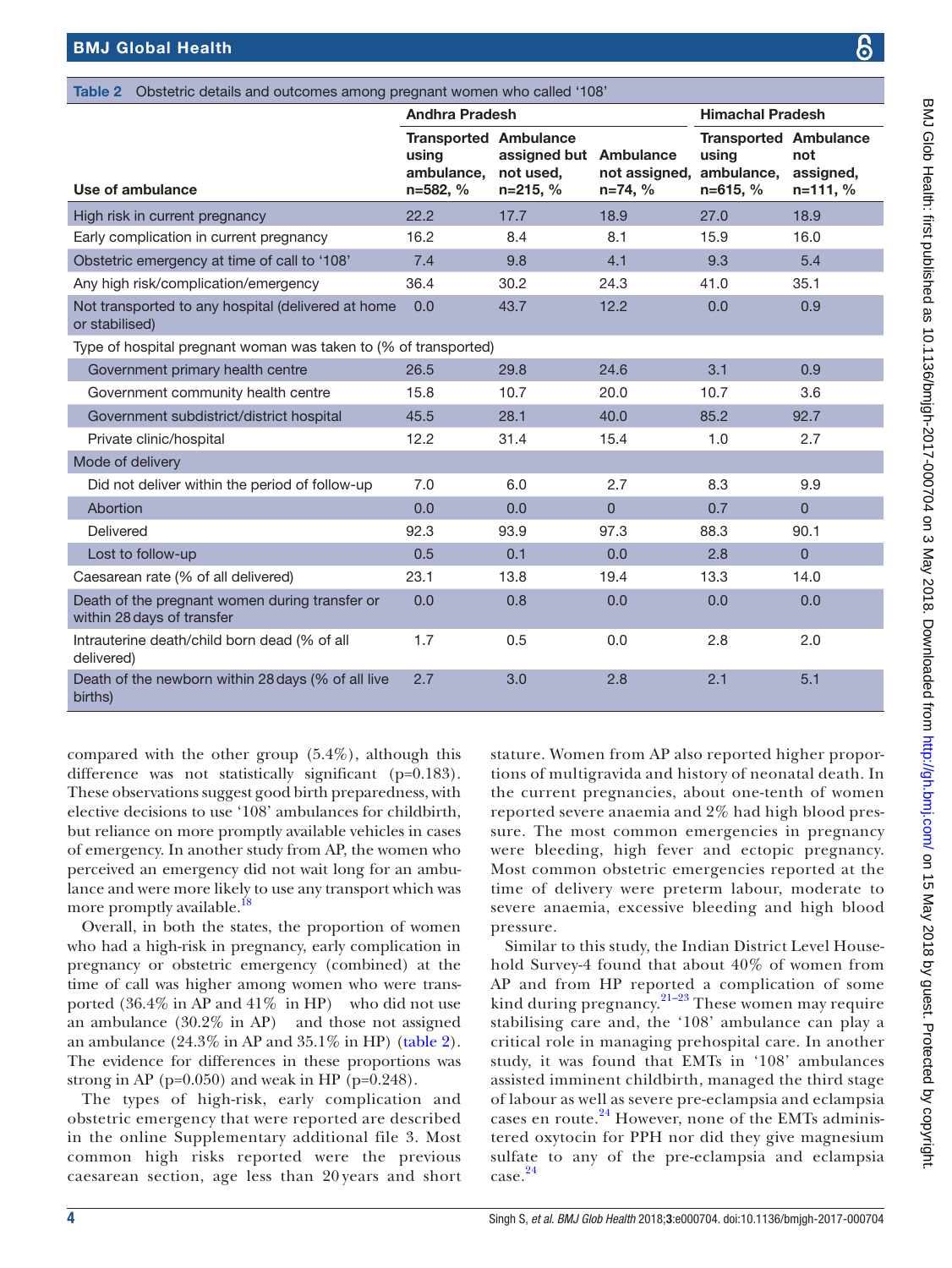<span id="page-3-0"></span>

| <b>Table 2</b> Obstetric details and outcomes among pregnant women who called '108' |                                                                 |                                                   |                            |                                                                     |                                  |
|-------------------------------------------------------------------------------------|-----------------------------------------------------------------|---------------------------------------------------|----------------------------|---------------------------------------------------------------------|----------------------------------|
|                                                                                     | <b>Andhra Pradesh</b>                                           |                                                   |                            | <b>Himachal Pradesh</b>                                             |                                  |
| Use of ambulance                                                                    | <b>Transported Ambulance</b><br>using<br>ambulance.<br>n=582, % | assigned but Ambulance<br>not used,<br>$n=215, %$ | not assigned,<br>$n=74, %$ | <b>Transported Ambulance</b><br>using<br>ambulance,<br>$n = 615, %$ | not<br>assigned,<br>$n = 111, %$ |
| High risk in current pregnancy                                                      | 22.2                                                            | 17.7                                              | 18.9                       | 27.0                                                                | 18.9                             |
| Early complication in current pregnancy                                             | 16.2                                                            | 8.4                                               | 8.1                        | 15.9                                                                | 16.0                             |
| Obstetric emergency at time of call to '108'                                        | 7.4                                                             | 9.8                                               | 4.1                        | 9.3                                                                 | 5.4                              |
| Any high risk/complication/emergency                                                | 36.4                                                            | 30.2                                              | 24.3                       | 41.0                                                                | 35.1                             |
| Not transported to any hospital (delivered at home<br>or stabilised)                | 0.0                                                             | 43.7                                              | 12.2                       | 0.0                                                                 | 0.9                              |
| Type of hospital pregnant woman was taken to (% of transported)                     |                                                                 |                                                   |                            |                                                                     |                                  |
| Government primary health centre                                                    | 26.5                                                            | 29.8                                              | 24.6                       | 3.1                                                                 | 0.9                              |
| Government community health centre                                                  | 15.8                                                            | 10.7                                              | 20.0                       | 10.7                                                                | 3.6                              |
| Government subdistrict/district hospital                                            | 45.5                                                            | 28.1                                              | 40.0                       | 85.2                                                                | 92.7                             |
| Private clinic/hospital                                                             | 12.2                                                            | 31.4                                              | 15.4                       | 1.0                                                                 | 2.7                              |
| Mode of delivery                                                                    |                                                                 |                                                   |                            |                                                                     |                                  |
| Did not deliver within the period of follow-up                                      | 7.0                                                             | 6.0                                               | 2.7                        | 8.3                                                                 | 9.9                              |
| Abortion                                                                            | 0.0                                                             | 0.0                                               | $\overline{0}$             | 0.7                                                                 | $\overline{0}$                   |
| Delivered                                                                           | 92.3                                                            | 93.9                                              | 97.3                       | 88.3                                                                | 90.1                             |
| Lost to follow-up                                                                   | 0.5                                                             | 0.1                                               | 0.0                        | 2.8                                                                 | $\overline{0}$                   |
| Caesarean rate (% of all delivered)                                                 | 23.1                                                            | 13.8                                              | 19.4                       | 13.3                                                                | 14.0                             |
| Death of the pregnant women during transfer or<br>within 28 days of transfer        | 0.0                                                             | 0.8                                               | 0.0                        | 0.0                                                                 | 0.0                              |
| Intrauterine death/child born dead (% of all<br>delivered)                          | 1.7                                                             | 0.5                                               | 0.0                        | 2.8                                                                 | 2.0                              |
| Death of the newborn within 28 days (% of all live<br>births)                       | 2.7                                                             | 3.0                                               | 2.8                        | 2.1                                                                 | 5.1                              |

compared with the other group (5.4%), although this difference was not statistically significant (p=0.183). These observations suggest good birth preparedness, with elective decisions to use '108' ambulances for childbirth, but reliance on more promptly available vehicles in cases of emergency. In another study from AP, the women who perceived an emergency did not wait long for an ambulance and were more likely to use any transport which was more promptly available.<sup>[18](#page-6-9)</sup>

Overall, in both the states, the proportion of women who had a high-risk in pregnancy, early complication in pregnancy or obstetric emergency (combined) at the time of call was higher among women who were transported (36.4% in AP and 41% in HP) who did not use an ambulance (30.2% in AP) and those not assigned an ambulance (24.3% in AP and 35.1% in HP) [\(table](#page-3-0) 2). The evidence for differences in these proportions was strong in AP ( $p=0.050$ ) and weak in HP ( $p=0.248$ ).

The types of high-risk, early complication and obstetric emergency that were reported are described in the online [Supplementary additional file 3](https://dx.doi.org/10.1136/bmjgh-2017-000704). Most common high risks reported were the previous caesarean section, age less than 20 years and short

stature. Women from AP also reported higher proportions of multigravida and history of neonatal death. In the current pregnancies, about one-tenth of women reported severe anaemia and 2% had high blood pressure. The most common emergencies in pregnancy were bleeding, high fever and ectopic pregnancy. Most common obstetric emergencies reported at the time of delivery were preterm labour, moderate to severe anaemia, excessive bleeding and high blood pressure.

Similar to this study, the Indian District Level Household Survey-4 found that about 40% of women from AP and from HP reported a complication of some kind during pregnancy. $21-23$  These women may require stabilising care and, the '108' ambulance can play a critical role in managing prehospital care. In another study, it was found that EMTs in '108' ambulances assisted imminent childbirth, managed the third stage of labour as well as severe pre-eclampsia and eclampsia cases en route. $^{24}$  $^{24}$  $^{24}$  However, none of the EMTs administered oxytocin for PPH nor did they give magnesium sulfate to any of the pre-eclampsia and eclampsia case.[24](#page-6-11)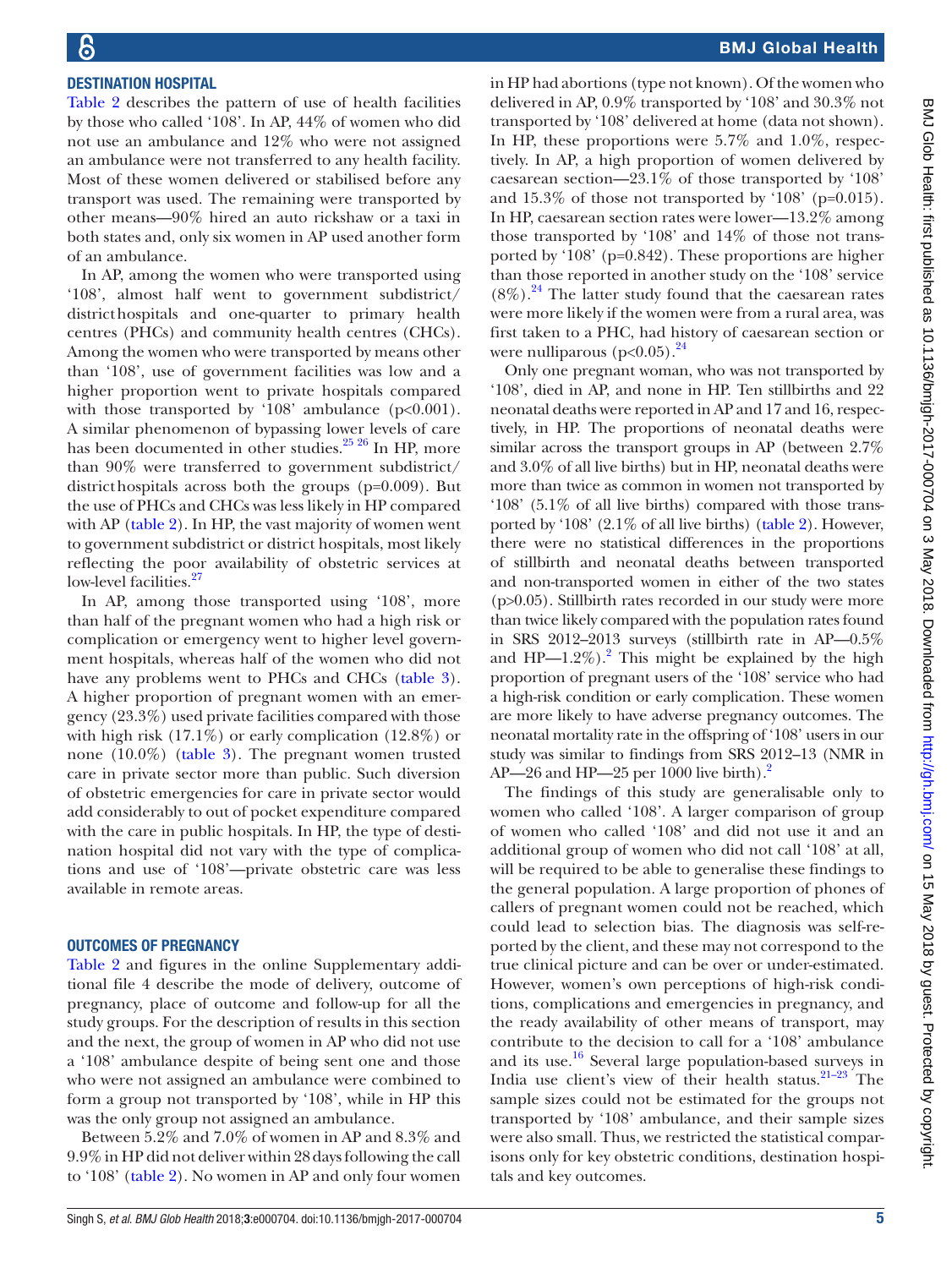## Destination hospital

[Table](#page-3-0) 2 describes the pattern of use of health facilities by those who called '108'. In AP, 44% of women who did not use an ambulance and 12% who were not assigned an ambulance were not transferred to any health facility. Most of these women delivered or stabilised before any transport was used. The remaining were transported by other means—90% hired an auto rickshaw or a taxi in both states and, only six women in AP used another form of an ambulance.

In AP, among the women who were transported using '108', almost half went to government subdistrict/ districthospitals and one-quarter to primary health centres (PHCs) and community health centres (CHCs). Among the women who were transported by means other than '108', use of government facilities was low and a higher proportion went to private hospitals compared with those transported by '108' ambulance  $(p<0.001)$ . A similar phenomenon of bypassing lower levels of care has been documented in other studies.<sup>25</sup> 26</sup> In HP, more than 90% were transferred to government subdistrict/ districthospitals across both the groups (p=0.009). But the use of PHCs and CHCs was less likely in HP compared with AP ([table](#page-3-0) 2). In HP, the vast majority of women went to government subdistrict or district hospitals, most likely reflecting the poor availability of obstetric services at low-level facilities.<sup>[27](#page-6-13)</sup>

In AP, among those transported using '108', more than half of the pregnant women who had a high risk or complication or emergency went to higher level government hospitals, whereas half of the women who did not have any problems went to PHCs and CHCs ([table](#page-5-0) 3). A higher proportion of pregnant women with an emergency (23.3%) used private facilities compared with those with high risk (17.1%) or early complication (12.8%) or none (10.0%) ([table](#page-5-0) 3). The pregnant women trusted care in private sector more than public. Such diversion of obstetric emergencies for care in private sector would add considerably to out of pocket expenditure compared with the care in public hospitals. In HP, the type of destination hospital did not vary with the type of complications and use of '108'—private obstetric care was less available in remote areas.

#### Outcomes of pregnancy

[Table](#page-3-0) 2 and figures in the online [Supplementary addi](https://dx.doi.org/10.1136/bmjgh-2017-000704)[tional file 4](https://dx.doi.org/10.1136/bmjgh-2017-000704) describe the mode of delivery, outcome of pregnancy, place of outcome and follow-up for all the study groups. For the description of results in this section and the next, the group of women in AP who did not use a '108' ambulance despite of being sent one and those who were not assigned an ambulance were combined to form a group not transported by '108', while in HP this was the only group not assigned an ambulance.

Between 5.2% and 7.0% of women in AP and 8.3% and 9.9% in HP did not deliver within 28days following the call to '108' ([table](#page-3-0) 2). No women in AP and only four women

in HP had abortions (type not known). Of the women who delivered in AP, 0.9% transported by '108' and 30.3% not transported by '108' delivered at home (data not shown). In HP, these proportions were 5.7% and 1.0%, respectively. In AP, a high proportion of women delivered by caesarean section—23.1% of those transported by '108' and 15.3% of those not transported by '108' (p=0.015). In HP, caesarean section rates were lower—13.2% among those transported by '108' and 14% of those not transported by '108' (p=0.842). These proportions are higher than those reported in another study on the '108' service  $(8\%)$ .<sup>24</sup> The latter study found that the caesarean rates were more likely if the women were from a rural area, was first taken to a PHC, had history of caesarean section or were nulliparous ( $p<0.05$ ).  $24$ 

Only one pregnant woman, who was not transported by '108', died in AP, and none in HP. Ten stillbirths and 22 neonatal deaths were reported in AP and 17 and 16, respectively, in HP. The proportions of neonatal deaths were similar across the transport groups in AP (between 2.7% and 3.0% of all live births) but in HP, neonatal deaths were more than twice as common in women not transported by '108' (5.1% of all live births) compared with those transported by '108' (2.1% of all live births) ([table](#page-3-0) 2). However, there were no statistical differences in the proportions of stillbirth and neonatal deaths between transported and non-transported women in either of the two states (p>0.05). Stillbirth rates recorded in our study were more than twice likely compared with the population rates found in SRS 2012–2013 surveys (stillbirth rate in AP—0.5% and  $HP-1.2\%$  $HP-1.2\%$  $HP-1.2\%$ ).<sup>2</sup> This might be explained by the high proportion of pregnant users of the '108' service who had a high-risk condition or early complication. These women are more likely to have adverse pregnancy outcomes. The neonatal mortality rate in the offspring of '108' users in our study was similar to findings from SRS 2012–13 (NMR in AP—[2](#page-6-1)6 and HP—25 per 1000 live birth).<sup>2</sup>

The findings of this study are generalisable only to women who called '108'. A larger comparison of group of women who called '108' and did not use it and an additional group of women who did not call '108' at all, will be required to be able to generalise these findings to the general population. A large proportion of phones of callers of pregnant women could not be reached, which could lead to selection bias. The diagnosis was self-reported by the client, and these may not correspond to the true clinical picture and can be over or under-estimated. However, women's own perceptions of high-risk conditions, complications and emergencies in pregnancy, and the ready availability of other means of transport, may contribute to the decision to call for a '108' ambulance and its use.<sup>[16](#page-6-8)</sup> Several large population-based surveys in India use client's view of their health status. $21-23$  The sample sizes could not be estimated for the groups not transported by '108' ambulance, and their sample sizes were also small. Thus, we restricted the statistical comparisons only for key obstetric conditions, destination hospitals and key outcomes.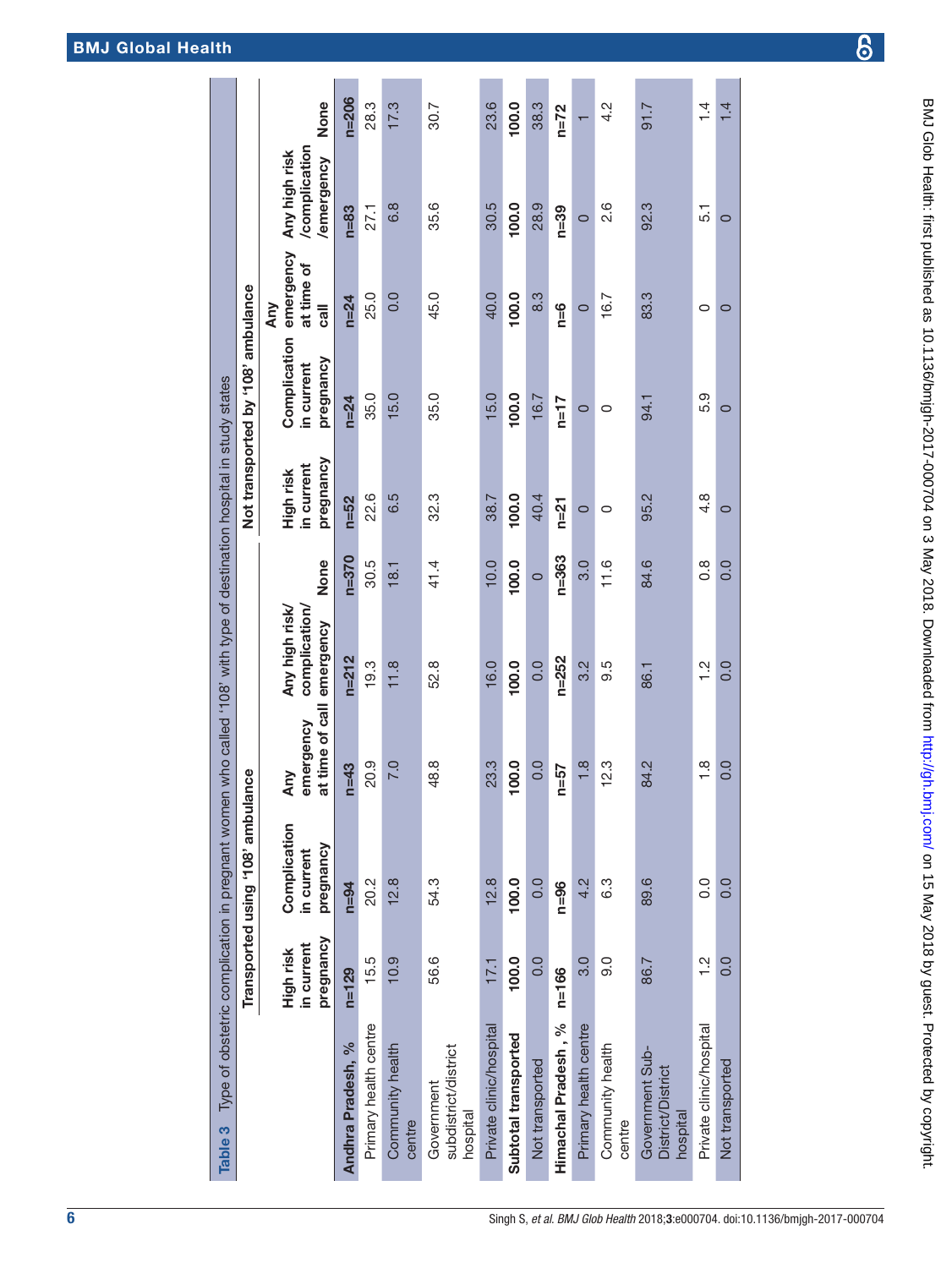# BMJ Global Health

<span id="page-5-0"></span>

| Table 3                                                 |                                      | Type of obstetric complication in pregnant women who called '108' with type of destination hospital in study states<br>Transported using '108' ambulance |                                     |                                              |               |                                      | Not transported by '108' ambulance      |                                           |                                             |               |
|---------------------------------------------------------|--------------------------------------|----------------------------------------------------------------------------------------------------------------------------------------------------------|-------------------------------------|----------------------------------------------|---------------|--------------------------------------|-----------------------------------------|-------------------------------------------|---------------------------------------------|---------------|
|                                                         |                                      |                                                                                                                                                          |                                     |                                              |               |                                      |                                         | Any                                       |                                             |               |
|                                                         | pregnancy<br>in current<br>High risk | Complication<br>pregnancy<br>in current                                                                                                                  | at time of call<br>emergency<br>Any | Any high risk/<br>complication/<br>emergency | None          | pregnancy<br>in current<br>High risk | Complication<br>pregnancy<br>in current | emergency<br>at time of<br>$\overline{a}$ | /complication<br>Any high risk<br>emergency | None          |
| Andhra Pradesh, %                                       | $n=129$                              | $n = 94$                                                                                                                                                 | $n=43$                              | $n = 212$                                    | $n = 370$     | $n = 52$                             | $n = 24$                                | $n = 24$                                  | $n = 83$                                    | $n = 206$     |
| Primary health centre                                   | 15.5                                 | 20.2                                                                                                                                                     | 20.9                                | 19.3                                         | 30.5          | 22.6                                 | 35.0                                    | 25.0                                      | 27.1                                        | 28.3          |
| Community health<br>centre                              | 10.9                                 | 12.8                                                                                                                                                     | <b>P.O</b>                          | 11.8                                         | 18.1          | 6.5                                  | 15.0                                    | 0.0                                       | 6.8                                         | 17.3          |
| subdistrict/district<br>Government<br>hospital          | 56.6                                 | 54.3                                                                                                                                                     | 48.8                                | 52.8                                         | 41.4          | 32.3                                 | 35.0                                    | 45.0                                      | 35.6                                        | 30.7          |
| Private clinic/hospital                                 | 17,1                                 | 12.8                                                                                                                                                     | 23.3                                | 16.0                                         | 10.0          | 38.7                                 | 15.0                                    | 40.0                                      | 30.5                                        | 23.6          |
| Subtotal transported                                    | 100.0                                | 100.0                                                                                                                                                    | 100.0                               | 100.0                                        | 100.0         | 100.0                                | 100.0                                   | 100.0                                     | 100.0                                       | 100.0         |
| Not transported                                         | 0.0                                  | 0.0                                                                                                                                                      | 0.0                                 | 0.0                                          | $\circ$       | 40.4                                 | 16.7                                    | 8.3                                       | 28.9                                        | 38.3          |
| Himachal Pradesh, %                                     | $n = 166$                            | $n = 96$                                                                                                                                                 | $n = 57$                            | $n = 252$                                    | $n = 363$     | $n=21$                               | $n=17$                                  | n=6                                       | $n = 39$                                    | $n=72$        |
| Primary health centre                                   | 3.0                                  | 4.2                                                                                                                                                      | 1.8                                 | 3.2                                          | 3.0           | $\circ$                              | $\circ$                                 | $\circ$                                   | $\circ$                                     |               |
| Community health<br>centre                              | 0.6                                  | 6.3                                                                                                                                                      | 12.3                                | 9.5                                          | 11.6          | 0                                    | 0                                       | 16.7                                      | 2.6                                         | 4.2           |
| Government Sub-<br><b>District/District</b><br>hospital | 86.7                                 | 89.6                                                                                                                                                     | 84.2                                | 86.1                                         | 84.6          | 95.2                                 | 94.1                                    | 83.3                                      | 92.3                                        | 91.7          |
| Private clinic/hospital                                 | $\frac{2}{1}$                        | O.O                                                                                                                                                      | $\frac{8}{1}$                       | $\frac{2}{1}$                                | $\frac{8}{1}$ | $4.\overline{8}$                     | 5.9                                     | 0                                         | 5.1                                         | $\frac{1}{4}$ |
| Not transported                                         | 0.0                                  | 0.0                                                                                                                                                      | 0.0                                 | 0.0                                          | 0.0           | $\circ$                              | 0                                       | $\circ$                                   | $\circ$                                     | 1.4           |
|                                                         |                                      |                                                                                                                                                          |                                     |                                              |               |                                      |                                         |                                           |                                             |               |

၆